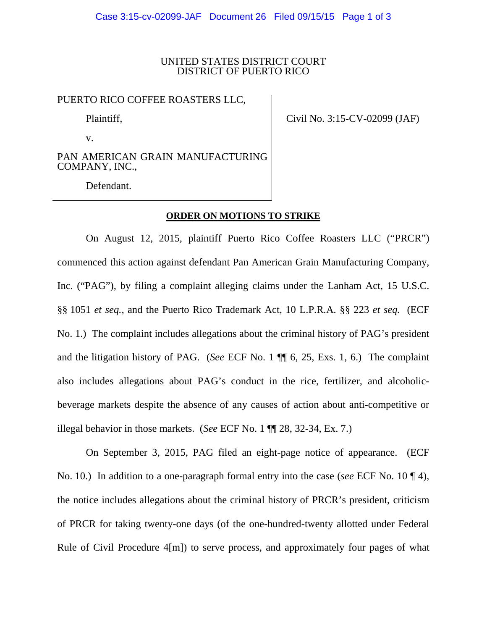### UNITED STATES DISTRICT COURT DISTRICT OF PUERTO RICO

#### PUERTO RICO COFFEE ROASTERS LLC,

Plaintiff,

v.

Civil No. 3:15-CV-02099 (JAF)

PAN AMERICAN GRAIN MANUFACTURING COMPANY, INC.,

Defendant.

## **ORDER ON MOTIONS TO STRIKE**

On August 12, 2015, plaintiff Puerto Rico Coffee Roasters LLC ("PRCR") commenced this action against defendant Pan American Grain Manufacturing Company, Inc. ("PAG"), by filing a complaint alleging claims under the Lanham Act, 15 U.S.C. §§ 1051 *et seq.,* and the Puerto Rico Trademark Act, 10 L.P.R.A. §§ 223 *et seq.* (ECF No. 1.) The complaint includes allegations about the criminal history of PAG's president and the litigation history of PAG. (*See* ECF No. 1 ¶¶ 6, 25, Exs. 1, 6.) The complaint also includes allegations about PAG's conduct in the rice, fertilizer, and alcoholicbeverage markets despite the absence of any causes of action about anti-competitive or illegal behavior in those markets. (*See* ECF No. 1 ¶¶ 28, 32-34, Ex. 7.)

On September 3, 2015, PAG filed an eight-page notice of appearance. (ECF No. 10.) In addition to a one-paragraph formal entry into the case (*see* ECF No. 10 ¶ 4), the notice includes allegations about the criminal history of PRCR's president, criticism of PRCR for taking twenty-one days (of the one-hundred-twenty allotted under Federal Rule of Civil Procedure 4[m]) to serve process, and approximately four pages of what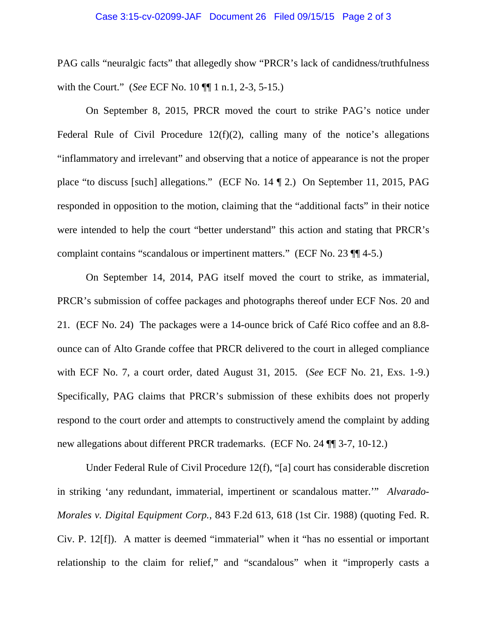# Case 3:15-cv-02099-JAF Document 26 Filed 09/15/15 Page 2 of 3

PAG calls "neuralgic facts" that allegedly show "PRCR's lack of candidness/truthfulness with the Court." (*See* ECF No. 10 ¶¶ 1 n.1, 2-3, 5-15.)

On September 8, 2015, PRCR moved the court to strike PAG's notice under Federal Rule of Civil Procedure  $12(f)(2)$ , calling many of the notice's allegations "inflammatory and irrelevant" and observing that a notice of appearance is not the proper place "to discuss [such] allegations." (ECF No. 14 ¶ 2.) On September 11, 2015, PAG responded in opposition to the motion, claiming that the "additional facts" in their notice were intended to help the court "better understand" this action and stating that PRCR's complaint contains "scandalous or impertinent matters." (ECF No. 23 ¶¶ 4-5.)

On September 14, 2014, PAG itself moved the court to strike, as immaterial, PRCR's submission of coffee packages and photographs thereof under ECF Nos. 20 and 21. (ECF No. 24) The packages were a 14-ounce brick of Café Rico coffee and an 8.8 ounce can of Alto Grande coffee that PRCR delivered to the court in alleged compliance with ECF No. 7, a court order, dated August 31, 2015. (*See* ECF No. 21, Exs. 1-9.) Specifically, PAG claims that PRCR's submission of these exhibits does not properly respond to the court order and attempts to constructively amend the complaint by adding new allegations about different PRCR trademarks. (ECF No. 24 ¶¶ 3-7, 10-12.)

Under Federal Rule of Civil Procedure 12(f), "[a] court has considerable discretion in striking 'any redundant, immaterial, impertinent or scandalous matter.'" *Alvarado-Morales v. Digital Equipment Corp.*, 843 F.2d 613, 618 (1st Cir. 1988) (quoting Fed. R. Civ. P. 12[f]). A matter is deemed "immaterial" when it "has no essential or important relationship to the claim for relief," and "scandalous" when it "improperly casts a